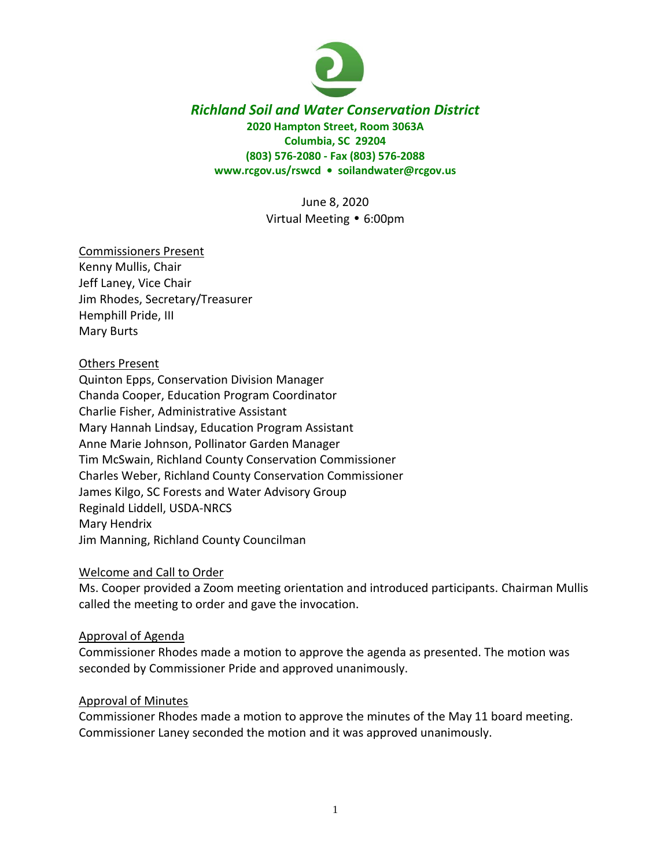

## *Richland Soil and Water Conservation District* **2020 Hampton Street, Room 3063A Columbia, SC 29204 (803) 576-2080 - Fax (803) 576-2088 www.rcgov.us/rswcd • soilandwater@rcgov.us**

June 8, 2020 Virtual Meeting • 6:00pm

### Commissioners Present

Kenny Mullis, Chair Jeff Laney, Vice Chair Jim Rhodes, Secretary/Treasurer Hemphill Pride, III Mary Burts

## Others Present

Quinton Epps, Conservation Division Manager Chanda Cooper, Education Program Coordinator Charlie Fisher, Administrative Assistant Mary Hannah Lindsay, Education Program Assistant Anne Marie Johnson, Pollinator Garden Manager Tim McSwain, Richland County Conservation Commissioner Charles Weber, Richland County Conservation Commissioner James Kilgo, SC Forests and Water Advisory Group Reginald Liddell, USDA-NRCS Mary Hendrix Jim Manning, Richland County Councilman

### Welcome and Call to Order

Ms. Cooper provided a Zoom meeting orientation and introduced participants. Chairman Mullis called the meeting to order and gave the invocation.

### Approval of Agenda

Commissioner Rhodes made a motion to approve the agenda as presented. The motion was seconded by Commissioner Pride and approved unanimously.

### Approval of Minutes

Commissioner Rhodes made a motion to approve the minutes of the May 11 board meeting. Commissioner Laney seconded the motion and it was approved unanimously.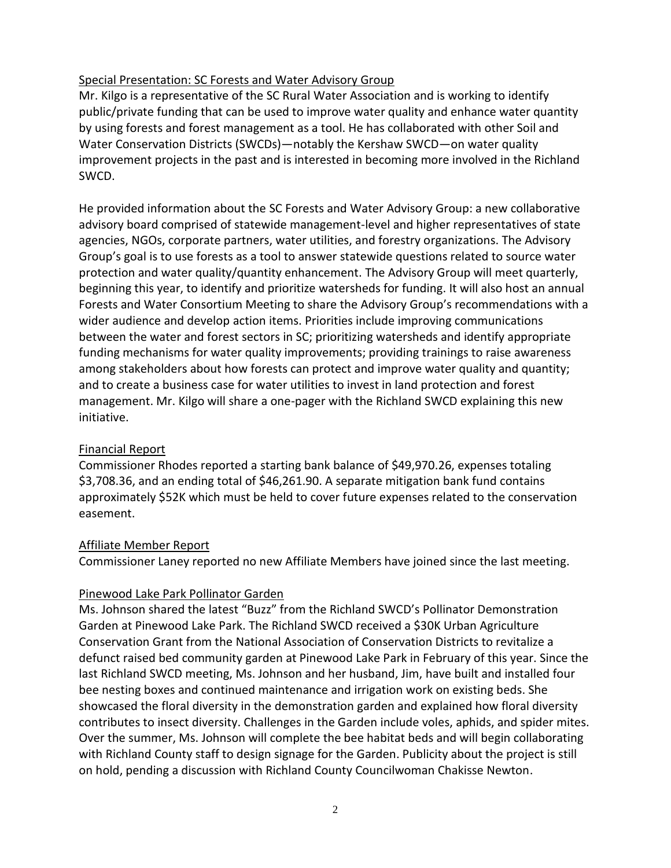## Special Presentation: SC Forests and Water Advisory Group

Mr. Kilgo is a representative of the SC Rural Water Association and is working to identify public/private funding that can be used to improve water quality and enhance water quantity by using forests and forest management as a tool. He has collaborated with other Soil and Water Conservation Districts (SWCDs)—notably the Kershaw SWCD—on water quality improvement projects in the past and is interested in becoming more involved in the Richland SWCD.

He provided information about the SC Forests and Water Advisory Group: a new collaborative advisory board comprised of statewide management-level and higher representatives of state agencies, NGOs, corporate partners, water utilities, and forestry organizations. The Advisory Group's goal is to use forests as a tool to answer statewide questions related to source water protection and water quality/quantity enhancement. The Advisory Group will meet quarterly, beginning this year, to identify and prioritize watersheds for funding. It will also host an annual Forests and Water Consortium Meeting to share the Advisory Group's recommendations with a wider audience and develop action items. Priorities include improving communications between the water and forest sectors in SC; prioritizing watersheds and identify appropriate funding mechanisms for water quality improvements; providing trainings to raise awareness among stakeholders about how forests can protect and improve water quality and quantity; and to create a business case for water utilities to invest in land protection and forest management. Mr. Kilgo will share a one-pager with the Richland SWCD explaining this new initiative.

## Financial Report

Commissioner Rhodes reported a starting bank balance of \$49,970.26, expenses totaling \$3,708.36, and an ending total of \$46,261.90. A separate mitigation bank fund contains approximately \$52K which must be held to cover future expenses related to the conservation easement.

### Affiliate Member Report

Commissioner Laney reported no new Affiliate Members have joined since the last meeting.

## Pinewood Lake Park Pollinator Garden

Ms. Johnson shared the latest "Buzz" from the Richland SWCD's Pollinator Demonstration Garden at Pinewood Lake Park. The Richland SWCD received a \$30K Urban Agriculture Conservation Grant from the National Association of Conservation Districts to revitalize a defunct raised bed community garden at Pinewood Lake Park in February of this year. Since the last Richland SWCD meeting, Ms. Johnson and her husband, Jim, have built and installed four bee nesting boxes and continued maintenance and irrigation work on existing beds. She showcased the floral diversity in the demonstration garden and explained how floral diversity contributes to insect diversity. Challenges in the Garden include voles, aphids, and spider mites. Over the summer, Ms. Johnson will complete the bee habitat beds and will begin collaborating with Richland County staff to design signage for the Garden. Publicity about the project is still on hold, pending a discussion with Richland County Councilwoman Chakisse Newton.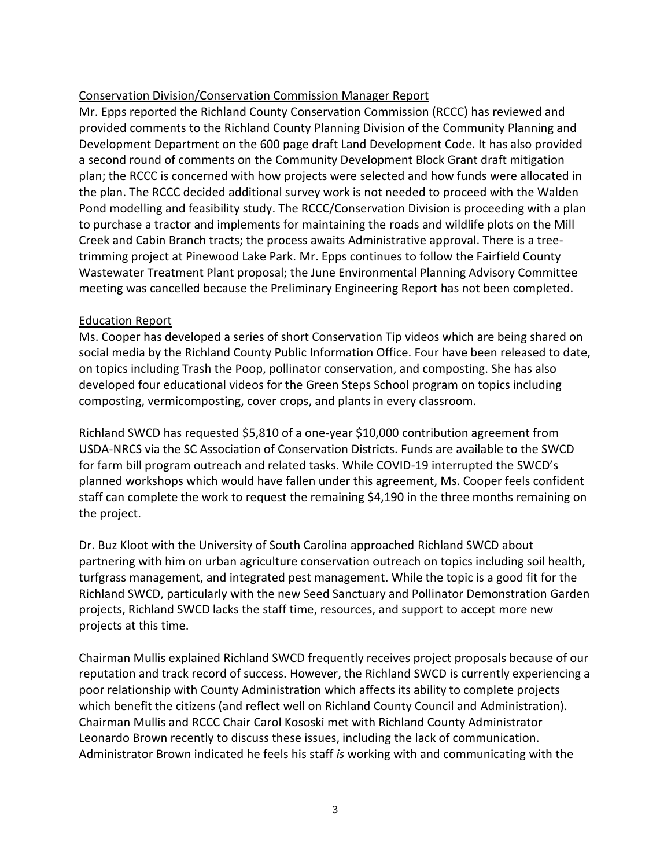# Conservation Division/Conservation Commission Manager Report

Mr. Epps reported the Richland County Conservation Commission (RCCC) has reviewed and provided comments to the Richland County Planning Division of the Community Planning and Development Department on the 600 page draft Land Development Code. It has also provided a second round of comments on the Community Development Block Grant draft mitigation plan; the RCCC is concerned with how projects were selected and how funds were allocated in the plan. The RCCC decided additional survey work is not needed to proceed with the Walden Pond modelling and feasibility study. The RCCC/Conservation Division is proceeding with a plan to purchase a tractor and implements for maintaining the roads and wildlife plots on the Mill Creek and Cabin Branch tracts; the process awaits Administrative approval. There is a treetrimming project at Pinewood Lake Park. Mr. Epps continues to follow the Fairfield County Wastewater Treatment Plant proposal; the June Environmental Planning Advisory Committee meeting was cancelled because the Preliminary Engineering Report has not been completed.

## Education Report

Ms. Cooper has developed a series of short Conservation Tip videos which are being shared on social media by the Richland County Public Information Office. Four have been released to date, on topics including Trash the Poop, pollinator conservation, and composting. She has also developed four educational videos for the Green Steps School program on topics including composting, vermicomposting, cover crops, and plants in every classroom.

Richland SWCD has requested \$5,810 of a one-year \$10,000 contribution agreement from USDA-NRCS via the SC Association of Conservation Districts. Funds are available to the SWCD for farm bill program outreach and related tasks. While COVID-19 interrupted the SWCD's planned workshops which would have fallen under this agreement, Ms. Cooper feels confident staff can complete the work to request the remaining \$4,190 in the three months remaining on the project.

Dr. Buz Kloot with the University of South Carolina approached Richland SWCD about partnering with him on urban agriculture conservation outreach on topics including soil health, turfgrass management, and integrated pest management. While the topic is a good fit for the Richland SWCD, particularly with the new Seed Sanctuary and Pollinator Demonstration Garden projects, Richland SWCD lacks the staff time, resources, and support to accept more new projects at this time.

Chairman Mullis explained Richland SWCD frequently receives project proposals because of our reputation and track record of success. However, the Richland SWCD is currently experiencing a poor relationship with County Administration which affects its ability to complete projects which benefit the citizens (and reflect well on Richland County Council and Administration). Chairman Mullis and RCCC Chair Carol Kososki met with Richland County Administrator Leonardo Brown recently to discuss these issues, including the lack of communication. Administrator Brown indicated he feels his staff *is* working with and communicating with the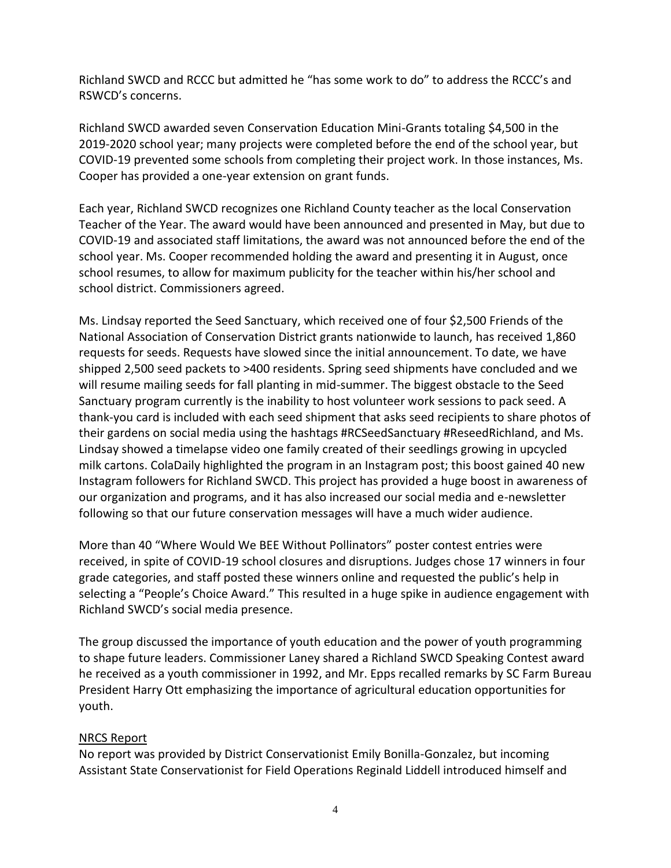Richland SWCD and RCCC but admitted he "has some work to do" to address the RCCC's and RSWCD's concerns.

Richland SWCD awarded seven Conservation Education Mini-Grants totaling \$4,500 in the 2019-2020 school year; many projects were completed before the end of the school year, but COVID-19 prevented some schools from completing their project work. In those instances, Ms. Cooper has provided a one-year extension on grant funds.

Each year, Richland SWCD recognizes one Richland County teacher as the local Conservation Teacher of the Year. The award would have been announced and presented in May, but due to COVID-19 and associated staff limitations, the award was not announced before the end of the school year. Ms. Cooper recommended holding the award and presenting it in August, once school resumes, to allow for maximum publicity for the teacher within his/her school and school district. Commissioners agreed.

Ms. Lindsay reported the Seed Sanctuary, which received one of four \$2,500 Friends of the National Association of Conservation District grants nationwide to launch, has received 1,860 requests for seeds. Requests have slowed since the initial announcement. To date, we have shipped 2,500 seed packets to >400 residents. Spring seed shipments have concluded and we will resume mailing seeds for fall planting in mid-summer. The biggest obstacle to the Seed Sanctuary program currently is the inability to host volunteer work sessions to pack seed. A thank-you card is included with each seed shipment that asks seed recipients to share photos of their gardens on social media using the hashtags #RCSeedSanctuary #ReseedRichland, and Ms. Lindsay showed a timelapse video one family created of their seedlings growing in upcycled milk cartons. ColaDaily highlighted the program in an Instagram post; this boost gained 40 new Instagram followers for Richland SWCD. This project has provided a huge boost in awareness of our organization and programs, and it has also increased our social media and e-newsletter following so that our future conservation messages will have a much wider audience.

More than 40 "Where Would We BEE Without Pollinators" poster contest entries were received, in spite of COVID-19 school closures and disruptions. Judges chose 17 winners in four grade categories, and staff posted these winners online and requested the public's help in selecting a "People's Choice Award." This resulted in a huge spike in audience engagement with Richland SWCD's social media presence.

The group discussed the importance of youth education and the power of youth programming to shape future leaders. Commissioner Laney shared a Richland SWCD Speaking Contest award he received as a youth commissioner in 1992, and Mr. Epps recalled remarks by SC Farm Bureau President Harry Ott emphasizing the importance of agricultural education opportunities for youth.

## NRCS Report

No report was provided by District Conservationist Emily Bonilla-Gonzalez, but incoming Assistant State Conservationist for Field Operations Reginald Liddell introduced himself and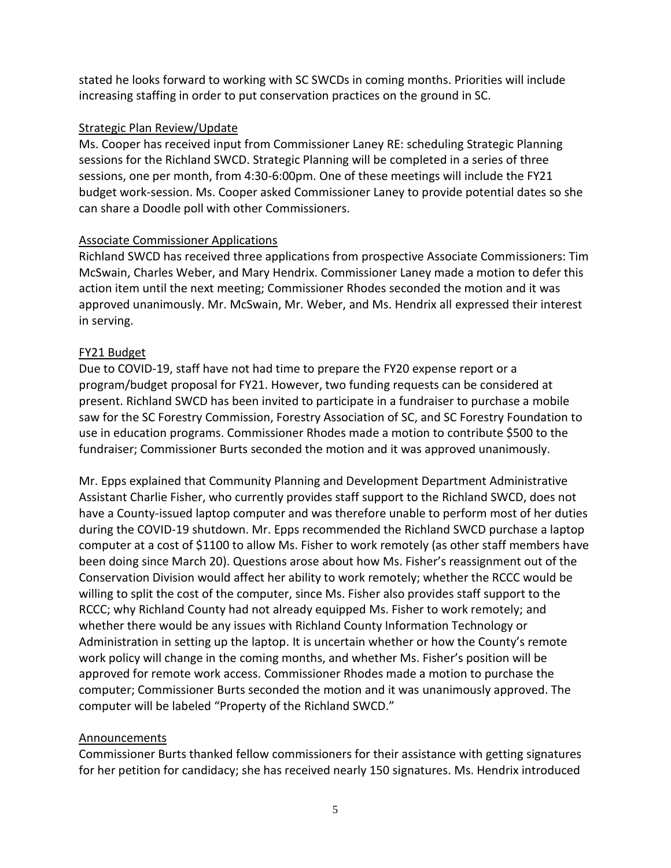stated he looks forward to working with SC SWCDs in coming months. Priorities will include increasing staffing in order to put conservation practices on the ground in SC.

## Strategic Plan Review/Update

Ms. Cooper has received input from Commissioner Laney RE: scheduling Strategic Planning sessions for the Richland SWCD. Strategic Planning will be completed in a series of three sessions, one per month, from 4:30-6:00pm. One of these meetings will include the FY21 budget work-session. Ms. Cooper asked Commissioner Laney to provide potential dates so she can share a Doodle poll with other Commissioners.

## Associate Commissioner Applications

Richland SWCD has received three applications from prospective Associate Commissioners: Tim McSwain, Charles Weber, and Mary Hendrix. Commissioner Laney made a motion to defer this action item until the next meeting; Commissioner Rhodes seconded the motion and it was approved unanimously. Mr. McSwain, Mr. Weber, and Ms. Hendrix all expressed their interest in serving.

## FY21 Budget

Due to COVID-19, staff have not had time to prepare the FY20 expense report or a program/budget proposal for FY21. However, two funding requests can be considered at present. Richland SWCD has been invited to participate in a fundraiser to purchase a mobile saw for the SC Forestry Commission, Forestry Association of SC, and SC Forestry Foundation to use in education programs. Commissioner Rhodes made a motion to contribute \$500 to the fundraiser; Commissioner Burts seconded the motion and it was approved unanimously.

Mr. Epps explained that Community Planning and Development Department Administrative Assistant Charlie Fisher, who currently provides staff support to the Richland SWCD, does not have a County-issued laptop computer and was therefore unable to perform most of her duties during the COVID-19 shutdown. Mr. Epps recommended the Richland SWCD purchase a laptop computer at a cost of \$1100 to allow Ms. Fisher to work remotely (as other staff members have been doing since March 20). Questions arose about how Ms. Fisher's reassignment out of the Conservation Division would affect her ability to work remotely; whether the RCCC would be willing to split the cost of the computer, since Ms. Fisher also provides staff support to the RCCC; why Richland County had not already equipped Ms. Fisher to work remotely; and whether there would be any issues with Richland County Information Technology or Administration in setting up the laptop. It is uncertain whether or how the County's remote work policy will change in the coming months, and whether Ms. Fisher's position will be approved for remote work access. Commissioner Rhodes made a motion to purchase the computer; Commissioner Burts seconded the motion and it was unanimously approved. The computer will be labeled "Property of the Richland SWCD."

## **Announcements**

Commissioner Burts thanked fellow commissioners for their assistance with getting signatures for her petition for candidacy; she has received nearly 150 signatures. Ms. Hendrix introduced